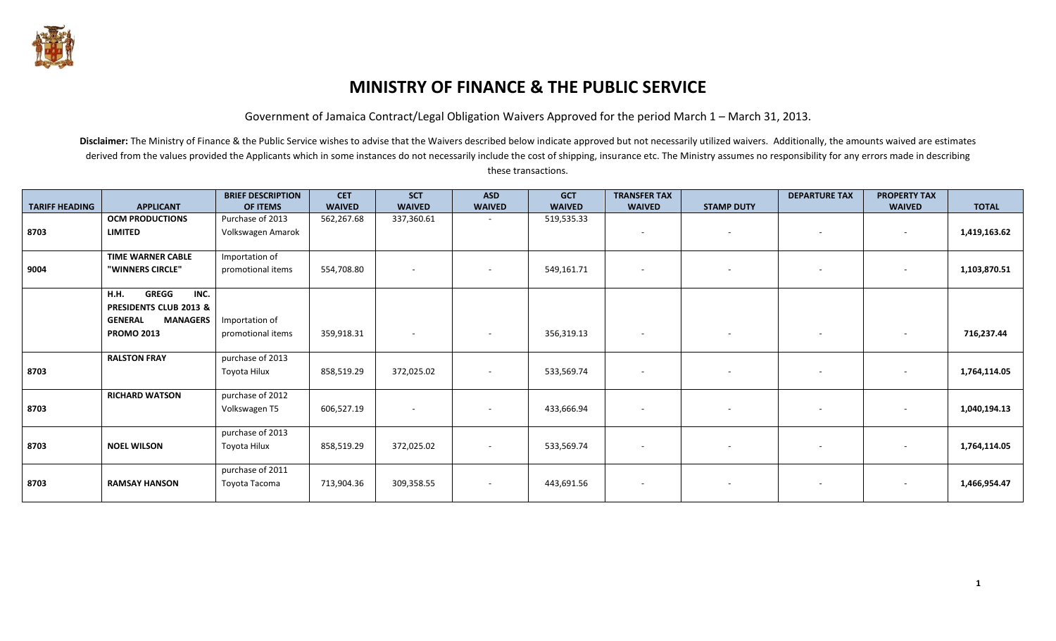

# **MINISTRY OF FINANCE & THE PUBLIC SERVICE**

Government of Jamaica Contract/Legal Obligation Waivers Approved for the period March 1 – March 31, 2013.

|                       |                                   | <b>BRIEF DESCRIPTION</b> | <b>CET</b>    | <b>SCT</b>    | <b>ASD</b>               | <b>GCT</b>    | <b>TRANSFER TAX</b>      |                   | <b>DEPARTURE TAX</b>     | <b>PROPERTY TAX</b>      |              |
|-----------------------|-----------------------------------|--------------------------|---------------|---------------|--------------------------|---------------|--------------------------|-------------------|--------------------------|--------------------------|--------------|
| <b>TARIFF HEADING</b> | <b>APPLICANT</b>                  | OF ITEMS                 | <b>WAIVED</b> | <b>WAIVED</b> | <b>WAIVED</b>            | <b>WAIVED</b> | <b>WAIVED</b>            | <b>STAMP DUTY</b> |                          | <b>WAIVED</b>            | <b>TOTAL</b> |
|                       | <b>OCM PRODUCTIONS</b>            | Purchase of 2013         | 562,267.68    | 337,360.61    |                          | 519,535.33    |                          |                   |                          |                          |              |
| 8703                  | <b>LIMITED</b>                    | Volkswagen Amarok        |               |               |                          |               | $\overline{\phantom{a}}$ | $\sim$            | $\sim$                   | $\overline{\phantom{a}}$ | 1,419,163.62 |
|                       |                                   |                          |               |               |                          |               |                          |                   |                          |                          |              |
|                       | <b>TIME WARNER CABLE</b>          | Importation of           |               |               |                          |               |                          |                   |                          |                          |              |
| 9004                  | "WINNERS CIRCLE"                  | promotional items        | 554,708.80    |               |                          | 549,161.71    | $\sim$                   | $\sim$            |                          |                          | 1,103,870.51 |
|                       |                                   |                          |               |               |                          |               |                          |                   |                          |                          |              |
|                       | <b>GREGG</b><br>INC.<br>H.H.      |                          |               |               |                          |               |                          |                   |                          |                          |              |
|                       | PRESIDENTS CLUB 2013 &            |                          |               |               |                          |               |                          |                   |                          |                          |              |
|                       | <b>GENERAL</b><br><b>MANAGERS</b> | Importation of           |               |               |                          |               |                          |                   |                          |                          |              |
|                       | <b>PROMO 2013</b>                 | promotional items        | 359,918.31    | $\sim$        | $\overline{\phantom{a}}$ | 356,319.13    | $\sim$                   | $\sim$            | $\sim$                   | $\sim$                   | 716,237.44   |
|                       |                                   |                          |               |               |                          |               |                          |                   |                          |                          |              |
|                       | <b>RALSTON FRAY</b>               | purchase of 2013         |               |               |                          |               |                          |                   |                          |                          |              |
| 8703                  |                                   | Toyota Hilux             | 858,519.29    | 372,025.02    | $\sim$                   | 533,569.74    | $\sim$                   | $\sim$            |                          |                          | 1,764,114.05 |
|                       |                                   |                          |               |               |                          |               |                          |                   |                          |                          |              |
|                       | <b>RICHARD WATSON</b>             | purchase of 2012         |               |               |                          |               |                          |                   |                          |                          |              |
| 8703                  |                                   | Volkswagen T5            | 606,527.19    |               |                          | 433,666.94    | $\sim$                   | $\sim$            | $\overline{\phantom{a}}$ |                          | 1,040,194.13 |
|                       |                                   |                          |               |               |                          |               |                          |                   |                          |                          |              |
|                       |                                   | purchase of 2013         |               |               |                          |               |                          |                   |                          |                          |              |
| 8703                  | <b>NOEL WILSON</b>                | Toyota Hilux             | 858,519.29    | 372,025.02    | $\sim$                   | 533,569.74    | $\sim$                   | $\sim$            | $\overline{\phantom{a}}$ | $\overline{\phantom{a}}$ | 1,764,114.05 |
|                       |                                   |                          |               |               |                          |               |                          |                   |                          |                          |              |
|                       |                                   | purchase of 2011         |               |               |                          |               |                          |                   |                          |                          |              |
| 8703                  | <b>RAMSAY HANSON</b>              | Toyota Tacoma            | 713,904.36    | 309,358.55    | $\sim$                   | 443,691.56    | $\sim$                   | $-$               | $\sim$                   | $\sim$                   | 1,466,954.47 |
|                       |                                   |                          |               |               |                          |               |                          |                   |                          |                          |              |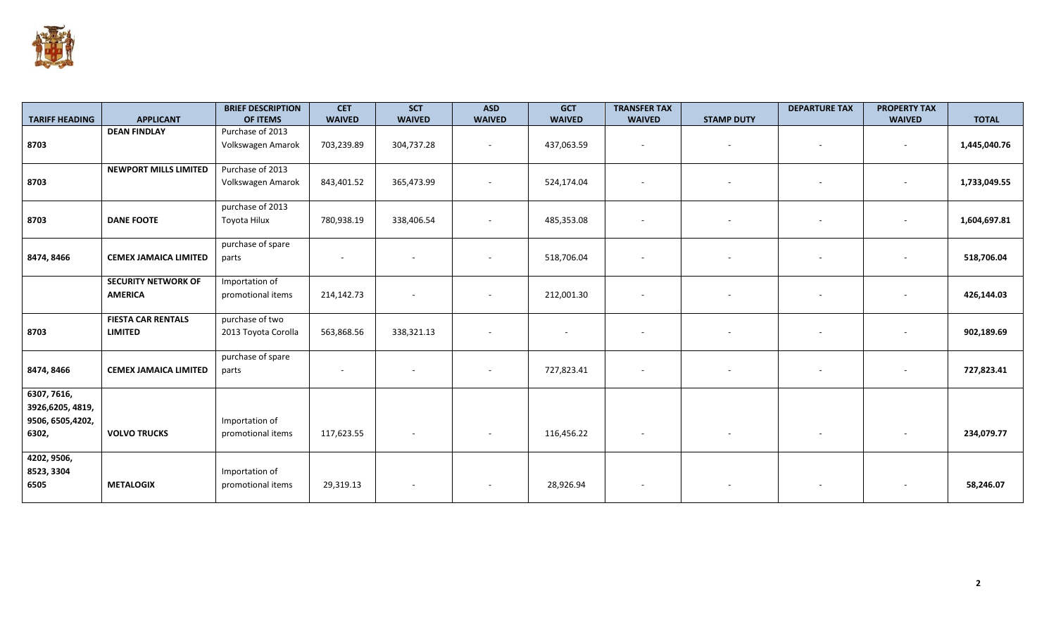

|                       |                              | <b>BRIEF DESCRIPTION</b> | <b>CET</b>               | <b>SCT</b>    | <b>ASD</b>               | <b>GCT</b>               | <b>TRANSFER TAX</b>      |                          | <b>DEPARTURE TAX</b> | <b>PROPERTY TAX</b> |              |
|-----------------------|------------------------------|--------------------------|--------------------------|---------------|--------------------------|--------------------------|--------------------------|--------------------------|----------------------|---------------------|--------------|
| <b>TARIFF HEADING</b> | <b>APPLICANT</b>             | OF ITEMS                 | <b>WAIVED</b>            | <b>WAIVED</b> | <b>WAIVED</b>            | <b>WAIVED</b>            | <b>WAIVED</b>            | <b>STAMP DUTY</b>        |                      | <b>WAIVED</b>       | <b>TOTAL</b> |
|                       | <b>DEAN FINDLAY</b>          | Purchase of 2013         |                          |               |                          |                          |                          |                          |                      |                     |              |
| 8703                  |                              | Volkswagen Amarok        | 703,239.89               | 304,737.28    | $\sim$                   | 437,063.59               | $\sim$                   | $\sim$                   | $\sim$               | $\sim$              | 1,445,040.76 |
|                       |                              |                          |                          |               |                          |                          |                          |                          |                      |                     |              |
|                       | <b>NEWPORT MILLS LIMITED</b> | Purchase of 2013         |                          |               |                          |                          |                          |                          |                      |                     |              |
| 8703                  |                              | Volkswagen Amarok        | 843,401.52               | 365,473.99    | $\sim$                   | 524,174.04               |                          | $\overline{\phantom{a}}$ |                      | $\sim$              | 1,733,049.55 |
|                       |                              |                          |                          |               |                          |                          |                          |                          |                      |                     |              |
|                       |                              | purchase of 2013         |                          |               |                          |                          |                          |                          |                      |                     |              |
| 8703                  | <b>DANE FOOTE</b>            | Toyota Hilux             | 780,938.19               | 338,406.54    | $\overline{\phantom{a}}$ | 485,353.08               |                          | $\overline{\phantom{a}}$ |                      | $\sim$              | 1,604,697.81 |
|                       |                              |                          |                          |               |                          |                          |                          |                          |                      |                     |              |
|                       |                              | purchase of spare        |                          |               |                          |                          |                          |                          |                      |                     |              |
| 8474, 8466            | <b>CEMEX JAMAICA LIMITED</b> | parts                    | $\sim$                   |               |                          | 518,706.04               |                          |                          |                      | ٠                   | 518,706.04   |
|                       |                              |                          |                          |               |                          |                          |                          |                          |                      |                     |              |
|                       | <b>SECURITY NETWORK OF</b>   | Importation of           |                          |               |                          |                          |                          |                          |                      |                     |              |
|                       | <b>AMERICA</b>               | promotional items        | 214,142.73               |               |                          | 212,001.30               | $\overline{\phantom{a}}$ | $\sim$                   |                      | $\sim$              | 426,144.03   |
|                       |                              |                          |                          |               |                          |                          |                          |                          |                      |                     |              |
|                       | <b>FIESTA CAR RENTALS</b>    | purchase of two          |                          |               |                          |                          |                          |                          |                      |                     |              |
| 8703                  | <b>LIMITED</b>               | 2013 Toyota Corolla      | 563,868.56               | 338,321.13    |                          | $\overline{\phantom{a}}$ |                          |                          |                      |                     | 902,189.69   |
|                       |                              |                          |                          |               |                          |                          |                          |                          |                      |                     |              |
|                       |                              | purchase of spare        |                          |               |                          |                          |                          |                          |                      |                     |              |
| 8474, 8466            | <b>CEMEX JAMAICA LIMITED</b> | parts                    | $\overline{\phantom{a}}$ |               | $\overline{\phantom{a}}$ | 727,823.41               |                          | $\sim$                   |                      | $\sim$              | 727,823.41   |
|                       |                              |                          |                          |               |                          |                          |                          |                          |                      |                     |              |
| 6307, 7616,           |                              |                          |                          |               |                          |                          |                          |                          |                      |                     |              |
| 3926,6205, 4819,      |                              |                          |                          |               |                          |                          |                          |                          |                      |                     |              |
| 9506, 6505, 4202,     |                              | Importation of           |                          |               |                          |                          |                          |                          |                      |                     |              |
|                       |                              |                          |                          |               |                          |                          |                          |                          |                      |                     |              |
| 6302,                 | <b>VOLVO TRUCKS</b>          | promotional items        | 117,623.55               |               | $\overline{\phantom{a}}$ | 116,456.22               | $\sim$                   | $\sim$                   |                      | $\sim$              | 234,079.77   |
|                       |                              |                          |                          |               |                          |                          |                          |                          |                      |                     |              |
| 4202, 9506,           |                              |                          |                          |               |                          |                          |                          |                          |                      |                     |              |
| 8523, 3304            |                              | Importation of           |                          |               |                          |                          |                          |                          |                      |                     |              |
| 6505                  | <b>METALOGIX</b>             | promotional items        | 29,319.13                |               | $\overline{\phantom{a}}$ | 28,926.94                |                          |                          |                      |                     | 58,246.07    |
|                       |                              |                          |                          |               |                          |                          |                          |                          |                      |                     |              |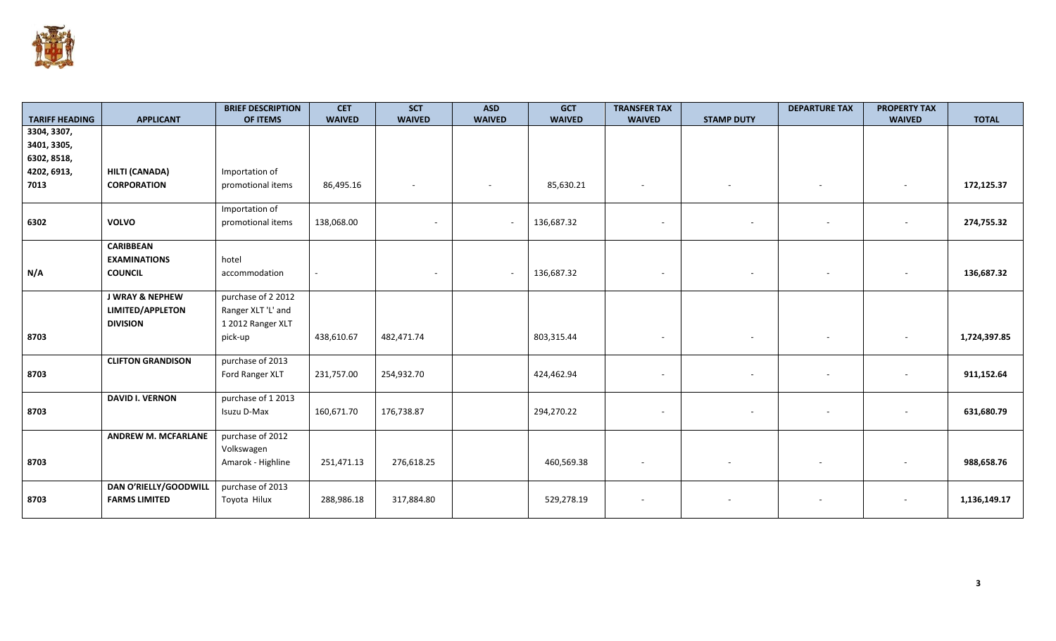

|                                      |                            | <b>BRIEF DESCRIPTION</b> | <b>CET</b>    | <b>SCT</b>    | <b>ASD</b>               | <b>GCT</b>    | <b>TRANSFER TAX</b>      |                          | <b>DEPARTURE TAX</b> | <b>PROPERTY TAX</b>      |              |
|--------------------------------------|----------------------------|--------------------------|---------------|---------------|--------------------------|---------------|--------------------------|--------------------------|----------------------|--------------------------|--------------|
| <b>TARIFF HEADING</b><br>3304, 3307, | <b>APPLICANT</b>           | OF ITEMS                 | <b>WAIVED</b> | <b>WAIVED</b> | <b>WAIVED</b>            | <b>WAIVED</b> | <b>WAIVED</b>            | <b>STAMP DUTY</b>        |                      | <b>WAIVED</b>            | <b>TOTAL</b> |
| 3401, 3305,                          |                            |                          |               |               |                          |               |                          |                          |                      |                          |              |
| 6302, 8518,                          |                            |                          |               |               |                          |               |                          |                          |                      |                          |              |
| 4202, 6913,                          | HILTI (CANADA)             | Importation of           |               |               |                          |               |                          |                          |                      |                          |              |
| 7013                                 | <b>CORPORATION</b>         | promotional items        | 86,495.16     |               |                          | 85,630.21     |                          | $\sim$                   | $\sim$               | $\sim$                   | 172,125.37   |
|                                      |                            |                          |               |               |                          |               |                          |                          |                      |                          |              |
|                                      |                            | Importation of           |               |               |                          |               |                          |                          |                      |                          |              |
| 6302                                 | <b>VOLVO</b>               | promotional items        | 138,068.00    |               | $\sim$                   | 136,687.32    | $\sim$                   | $\sim$                   |                      | $\overline{\phantom{a}}$ | 274,755.32   |
|                                      |                            |                          |               |               |                          |               |                          |                          |                      |                          |              |
|                                      | <b>CARIBBEAN</b>           |                          |               |               |                          |               |                          |                          |                      |                          |              |
|                                      | <b>EXAMINATIONS</b>        | hotel                    |               |               |                          |               |                          |                          |                      |                          |              |
| N/A                                  | <b>COUNCIL</b>             | accommodation            |               |               | $\overline{\phantom{a}}$ | 136,687.32    | $\overline{\phantom{a}}$ | $\overline{\phantom{a}}$ |                      |                          | 136,687.32   |
|                                      |                            |                          |               |               |                          |               |                          |                          |                      |                          |              |
|                                      | <b>J WRAY &amp; NEPHEW</b> | purchase of 2 2012       |               |               |                          |               |                          |                          |                      |                          |              |
|                                      | LIMITED/APPLETON           | Ranger XLT 'L' and       |               |               |                          |               |                          |                          |                      |                          |              |
|                                      | <b>DIVISION</b>            | 1 2012 Ranger XLT        |               |               |                          |               |                          |                          |                      |                          |              |
| 8703                                 |                            | pick-up                  | 438,610.67    | 482,471.74    |                          | 803,315.44    | $\sim$                   | $\sim$                   |                      | $\overline{\phantom{a}}$ | 1,724,397.85 |
|                                      |                            |                          |               |               |                          |               |                          |                          |                      |                          |              |
|                                      | <b>CLIFTON GRANDISON</b>   | purchase of 2013         |               |               |                          |               |                          |                          |                      |                          |              |
| 8703                                 |                            | Ford Ranger XLT          | 231,757.00    | 254,932.70    |                          | 424,462.94    | $\sim$                   | $\overline{\phantom{a}}$ |                      |                          | 911,152.64   |
|                                      | <b>DAVID I. VERNON</b>     | purchase of 1 2013       |               |               |                          |               |                          |                          |                      |                          |              |
| 8703                                 |                            | Isuzu D-Max              | 160,671.70    | 176,738.87    |                          | 294,270.22    |                          | $\sim$                   |                      |                          | 631,680.79   |
|                                      |                            |                          |               |               |                          |               |                          |                          |                      |                          |              |
|                                      | <b>ANDREW M. MCFARLANE</b> | purchase of 2012         |               |               |                          |               |                          |                          |                      |                          |              |
|                                      |                            | Volkswagen               |               |               |                          |               |                          |                          |                      |                          |              |
| 8703                                 |                            | Amarok - Highline        | 251,471.13    | 276,618.25    |                          | 460,569.38    |                          |                          |                      |                          | 988,658.76   |
|                                      |                            |                          |               |               |                          |               |                          |                          |                      |                          |              |
|                                      | DAN O'RIELLY/GOODWILL      | purchase of 2013         |               |               |                          |               |                          |                          |                      |                          |              |
| 8703                                 | <b>FARMS LIMITED</b>       | Toyota Hilux             | 288,986.18    | 317,884.80    |                          | 529,278.19    |                          |                          |                      | $\overline{\phantom{a}}$ | 1,136,149.17 |
|                                      |                            |                          |               |               |                          |               |                          |                          |                      |                          |              |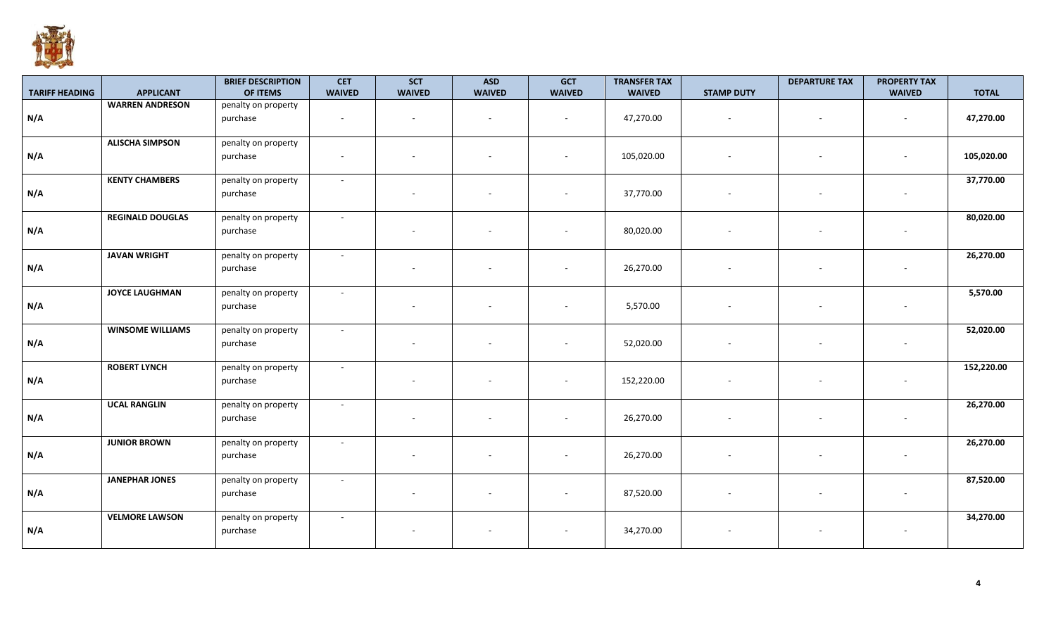

|                       |                         | <b>BRIEF DESCRIPTION</b><br>OF ITEMS | <b>CET</b>               | <b>SCT</b><br><b>WAIVED</b> | <b>ASD</b>    | <b>GCT</b>               | <b>TRANSFER TAX</b> |                          | <b>DEPARTURE TAX</b>     | <b>PROPERTY TAX</b> |              |
|-----------------------|-------------------------|--------------------------------------|--------------------------|-----------------------------|---------------|--------------------------|---------------------|--------------------------|--------------------------|---------------------|--------------|
| <b>TARIFF HEADING</b> | <b>APPLICANT</b>        |                                      | <b>WAIVED</b>            |                             | <b>WAIVED</b> | <b>WAIVED</b>            | <b>WAIVED</b>       | <b>STAMP DUTY</b>        |                          | <b>WAIVED</b>       | <b>TOTAL</b> |
| N/A                   | <b>WARREN ANDRESON</b>  | penalty on property<br>purchase      |                          | $\sim$                      |               | $\overline{\phantom{a}}$ | 47,270.00           | $\overline{\phantom{a}}$ | $\overline{a}$           |                     | 47,270.00    |
| N/A                   | <b>ALISCHA SIMPSON</b>  | penalty on property<br>purchase      | $\overline{\phantom{a}}$ |                             |               | $\overline{\phantom{a}}$ | 105,020.00          |                          |                          |                     | 105,020.00   |
| N/A                   | <b>KENTY CHAMBERS</b>   | penalty on property<br>purchase      | $\sim$                   |                             |               | $\overline{\phantom{a}}$ | 37,770.00           |                          |                          |                     | 37,770.00    |
| N/A                   | <b>REGINALD DOUGLAS</b> | penalty on property<br>purchase      | $\sim$                   | $\sim$                      |               | $\overline{\phantom{a}}$ | 80,020.00           |                          | $\overline{\phantom{a}}$ |                     | 80,020.00    |
| N/A                   | <b>JAVAN WRIGHT</b>     | penalty on property<br>purchase      | $\sim$                   |                             |               |                          | 26,270.00           |                          |                          |                     | 26,270.00    |
| N/A                   | <b>JOYCE LAUGHMAN</b>   | penalty on property<br>purchase      | $\sim$                   |                             |               |                          | 5,570.00            |                          |                          |                     | 5,570.00     |
| N/A                   | <b>WINSOME WILLIAMS</b> | penalty on property<br>purchase      | $\sim$                   | $\sim$                      |               | $\overline{\phantom{a}}$ | 52,020.00           |                          |                          |                     | 52,020.00    |
| N/A                   | <b>ROBERT LYNCH</b>     | penalty on property<br>purchase      | $\sim$                   |                             |               |                          | 152,220.00          |                          |                          |                     | 152,220.00   |
| N/A                   | <b>UCAL RANGLIN</b>     | penalty on property<br>purchase      | $\sim$                   | $\overline{\phantom{a}}$    |               |                          | 26,270.00           |                          |                          |                     | 26,270.00    |
| N/A                   | <b>JUNIOR BROWN</b>     | penalty on property<br>purchase      | $\sim$                   | $\sim$                      |               | $\overline{\phantom{a}}$ | 26,270.00           |                          | $\overline{\phantom{a}}$ |                     | 26,270.00    |
| N/A                   | <b>JANEPHAR JONES</b>   | penalty on property<br>purchase      | $\sim$                   | $\sim$                      |               | $\overline{\phantom{a}}$ | 87,520.00           |                          | $\overline{\phantom{a}}$ |                     | 87,520.00    |
| N/A                   | <b>VELMORE LAWSON</b>   | penalty on property<br>purchase      | $\sim$                   |                             |               | $\sim$                   | 34,270.00           |                          |                          |                     | 34,270.00    |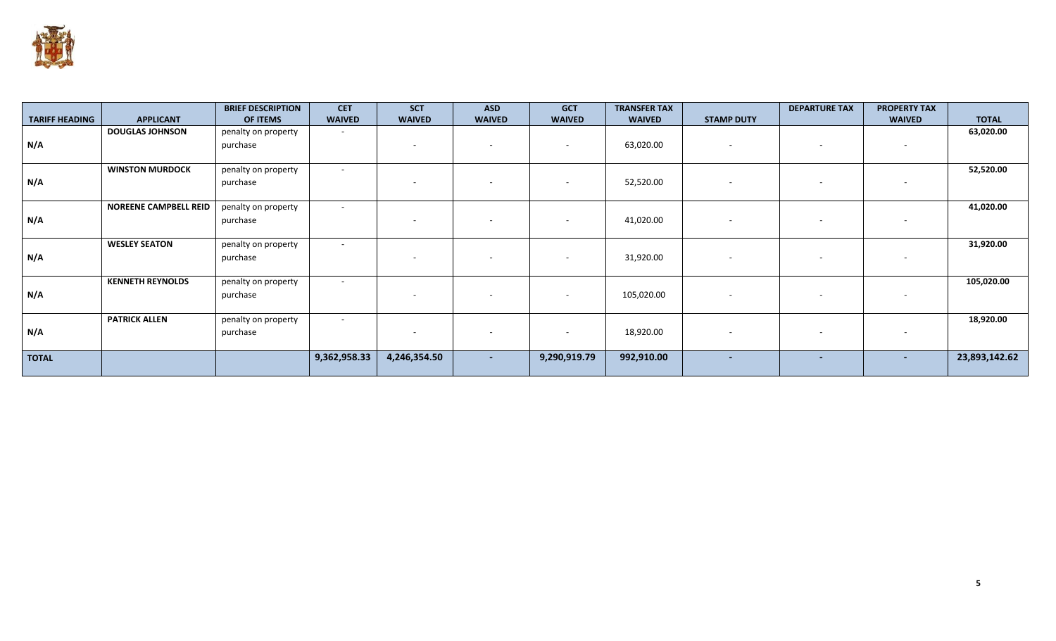

|                       |                              | <b>BRIEF DESCRIPTION</b> | <b>CET</b>               | <b>SCT</b>    | <b>ASD</b>               | <b>GCT</b>               | <b>TRANSFER TAX</b> |                          | <b>DEPARTURE TAX</b>     | <b>PROPERTY TAX</b>      |               |
|-----------------------|------------------------------|--------------------------|--------------------------|---------------|--------------------------|--------------------------|---------------------|--------------------------|--------------------------|--------------------------|---------------|
| <b>TARIFF HEADING</b> | <b>APPLICANT</b>             | OF ITEMS                 | <b>WAIVED</b>            | <b>WAIVED</b> | <b>WAIVED</b>            | <b>WAIVED</b>            | <b>WAIVED</b>       | <b>STAMP DUTY</b>        |                          | <b>WAIVED</b>            | <b>TOTAL</b>  |
|                       | <b>DOUGLAS JOHNSON</b>       | penalty on property      | $\sim$                   |               |                          |                          |                     |                          |                          |                          | 63,020.00     |
| N/A                   |                              | purchase                 |                          |               | $\overline{\phantom{a}}$ | $\sim$                   | 63,020.00           | $\overline{\phantom{a}}$ |                          | $\overline{\phantom{a}}$ |               |
|                       |                              |                          |                          |               |                          |                          |                     |                          |                          |                          |               |
|                       | <b>WINSTON MURDOCK</b>       | penalty on property      | $\overline{\phantom{a}}$ |               |                          |                          |                     |                          |                          |                          | 52,520.00     |
| N/A                   |                              | purchase                 |                          |               | $\overline{\phantom{a}}$ | $\sim$                   | 52,520.00           | $\overline{\phantom{a}}$ |                          | $\overline{\phantom{a}}$ |               |
|                       |                              |                          |                          |               |                          |                          |                     |                          |                          |                          |               |
|                       | <b>NOREENE CAMPBELL REID</b> | penalty on property      | $\overline{\phantom{a}}$ |               |                          |                          |                     |                          |                          |                          | 41,020.00     |
| N/A                   |                              | purchase                 |                          |               | $\overline{\phantom{a}}$ | $\sim$                   | 41,020.00           | $\sim$                   | $\overline{\phantom{a}}$ | $\sim$                   |               |
|                       |                              |                          |                          |               |                          |                          |                     |                          |                          |                          |               |
|                       | <b>WESLEY SEATON</b>         | penalty on property      | $\overline{\phantom{a}}$ |               |                          |                          |                     |                          |                          |                          | 31,920.00     |
| N/A                   |                              | purchase                 |                          |               |                          | $\overline{\phantom{0}}$ | 31,920.00           | $\overline{\phantom{a}}$ |                          | $\sim$                   |               |
|                       |                              |                          |                          |               |                          |                          |                     |                          |                          |                          |               |
|                       | <b>KENNETH REYNOLDS</b>      | penalty on property      | $\overline{\phantom{a}}$ |               |                          |                          |                     |                          |                          |                          | 105,020.00    |
| N/A                   |                              | purchase                 |                          |               | $\overline{\phantom{a}}$ | $\sim$                   | 105,020.00          | $\overline{\phantom{a}}$ | $\overline{\phantom{a}}$ | $\sim$                   |               |
|                       |                              |                          |                          |               |                          |                          |                     |                          |                          |                          |               |
|                       | <b>PATRICK ALLEN</b>         | penalty on property      | $\sim$                   |               |                          |                          |                     |                          |                          |                          | 18,920.00     |
| N/A                   |                              | purchase                 |                          |               |                          | $\overline{\phantom{0}}$ | 18,920.00           |                          |                          | $\sim$                   |               |
|                       |                              |                          |                          |               |                          |                          |                     |                          |                          |                          |               |
| <b>TOTAL</b>          |                              |                          | 9,362,958.33             | 4,246,354.50  | $\overline{\phantom{a}}$ | 9,290,919.79             | 992,910.00          | $\sim$                   | $\overline{\phantom{0}}$ | $\sim$                   | 23,893,142.62 |
|                       |                              |                          |                          |               |                          |                          |                     |                          |                          |                          |               |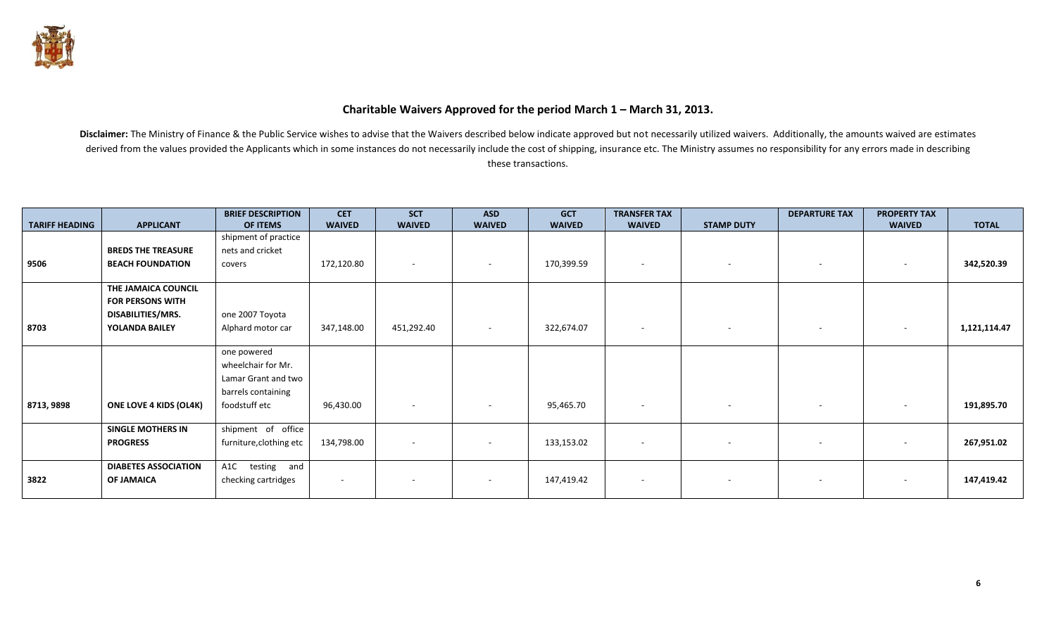

#### **Charitable Waivers Approved for the period March 1 – March 31, 2013.**

| <b>TARIFF HEADING</b> | <b>APPLICANT</b>              | <b>BRIEF DESCRIPTION</b><br>OF ITEMS | <b>CET</b><br><b>WAIVED</b> | <b>SCT</b><br><b>WAIVED</b> | <b>ASD</b><br><b>WAIVED</b> | <b>GCT</b><br><b>WAIVED</b> | <b>TRANSFER TAX</b><br><b>WAIVED</b> | <b>STAMP DUTY</b> | <b>DEPARTURE TAX</b>     | <b>PROPERTY TAX</b><br><b>WAIVED</b> | <b>TOTAL</b> |
|-----------------------|-------------------------------|--------------------------------------|-----------------------------|-----------------------------|-----------------------------|-----------------------------|--------------------------------------|-------------------|--------------------------|--------------------------------------|--------------|
|                       |                               | shipment of practice                 |                             |                             |                             |                             |                                      |                   |                          |                                      |              |
|                       | <b>BREDS THE TREASURE</b>     | nets and cricket                     |                             |                             |                             |                             |                                      |                   |                          |                                      |              |
| 9506                  | <b>BEACH FOUNDATION</b>       | covers                               | 172,120.80                  | $\sim$                      | $\sim$                      | 170,399.59                  | $\overline{\phantom{a}}$             | $\sim$            | $\sim$                   | $\overline{\phantom{a}}$             | 342,520.39   |
|                       |                               |                                      |                             |                             |                             |                             |                                      |                   |                          |                                      |              |
|                       | THE JAMAICA COUNCIL           |                                      |                             |                             |                             |                             |                                      |                   |                          |                                      |              |
|                       | <b>FOR PERSONS WITH</b>       |                                      |                             |                             |                             |                             |                                      |                   |                          |                                      |              |
|                       | DISABILITIES/MRS.             | one 2007 Toyota                      |                             |                             |                             |                             |                                      |                   |                          |                                      |              |
| 8703                  | YOLANDA BAILEY                | Alphard motor car                    | 347,148.00                  | 451,292.40                  | $\sim$                      | 322,674.07                  |                                      | $\sim$            |                          |                                      | 1,121,114.47 |
|                       |                               |                                      |                             |                             |                             |                             |                                      |                   |                          |                                      |              |
|                       |                               | one powered<br>wheelchair for Mr.    |                             |                             |                             |                             |                                      |                   |                          |                                      |              |
|                       |                               | Lamar Grant and two                  |                             |                             |                             |                             |                                      |                   |                          |                                      |              |
|                       |                               | barrels containing                   |                             |                             |                             |                             |                                      |                   |                          |                                      |              |
| 8713, 9898            | <b>ONE LOVE 4 KIDS (OL4K)</b> | foodstuff etc                        | 96,430.00                   |                             |                             | 95,465.70                   |                                      |                   | $\sim$                   |                                      | 191,895.70   |
|                       |                               |                                      |                             | $\sim$                      | $\overline{\phantom{a}}$    |                             | $\overline{\phantom{a}}$             | $\sim$            |                          | $\sim$                               |              |
|                       | <b>SINGLE MOTHERS IN</b>      | shipment of office                   |                             |                             |                             |                             |                                      |                   |                          |                                      |              |
|                       | <b>PROGRESS</b>               | furniture, clothing etc              | 134,798.00                  |                             |                             | 133,153.02                  | $\overline{\phantom{a}}$             | $\sim$            | $\overline{\phantom{a}}$ |                                      | 267,951.02   |
|                       |                               |                                      |                             |                             |                             |                             |                                      |                   |                          |                                      |              |
|                       | <b>DIABETES ASSOCIATION</b>   | testing and<br>A1C                   |                             |                             |                             |                             |                                      |                   |                          |                                      |              |
| 3822                  | <b>OF JAMAICA</b>             | checking cartridges                  | $\sim$                      | $\sim$                      | $\overline{\phantom{a}}$    | 147,419.42                  | $\overline{\phantom{a}}$             | $\sim$            | $\overline{\phantom{0}}$ | $\sim$                               | 147,419.42   |
|                       |                               |                                      |                             |                             |                             |                             |                                      |                   |                          |                                      |              |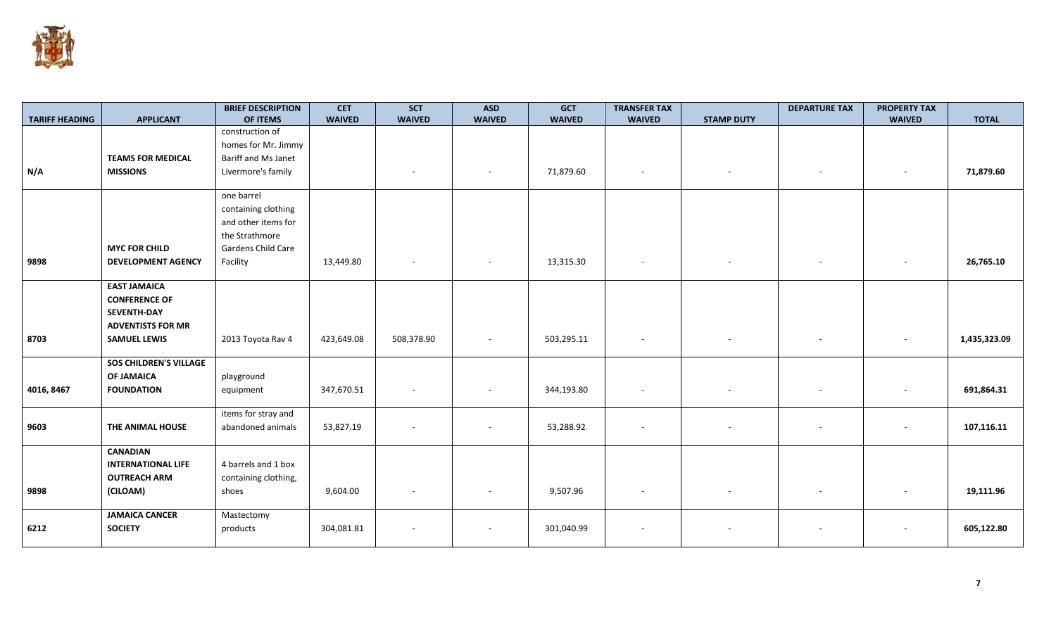

| <b>TARIFF HEADING</b> | <b>APPLICANT</b>              | <b>BRIEF DESCRIPTION</b><br>OF ITEMS | <b>CET</b><br><b>WAIVED</b> | <b>SCT</b><br><b>WAIVED</b> | <b>ASD</b><br><b>WAIVED</b> | <b>GCT</b><br><b>WAIVED</b> | <b>TRANSFER TAX</b><br><b>WAIVED</b> | <b>STAMP DUTY</b> | <b>DEPARTURE TAX</b> | <b>PROPERTY TAX</b><br><b>WAIVED</b> | <b>TOTAL</b> |
|-----------------------|-------------------------------|--------------------------------------|-----------------------------|-----------------------------|-----------------------------|-----------------------------|--------------------------------------|-------------------|----------------------|--------------------------------------|--------------|
|                       |                               | construction of                      |                             |                             |                             |                             |                                      |                   |                      |                                      |              |
|                       |                               | homes for Mr. Jimmy                  |                             |                             |                             |                             |                                      |                   |                      |                                      |              |
|                       | <b>TEAMS FOR MEDICAL</b>      | Bariff and Ms Janet                  |                             |                             |                             |                             |                                      |                   |                      |                                      |              |
| N/A                   | <b>MISSIONS</b>               | Livermore's family                   |                             |                             | $\sim$                      | 71,879.60                   | $\sim$                               | $\sim$            |                      | $\sim$                               | 71,879.60    |
|                       |                               |                                      |                             |                             |                             |                             |                                      |                   |                      |                                      |              |
|                       |                               | one barrel                           |                             |                             |                             |                             |                                      |                   |                      |                                      |              |
|                       |                               | containing clothing                  |                             |                             |                             |                             |                                      |                   |                      |                                      |              |
|                       |                               | and other items for                  |                             |                             |                             |                             |                                      |                   |                      |                                      |              |
|                       |                               | the Strathmore                       |                             |                             |                             |                             |                                      |                   |                      |                                      |              |
|                       | <b>MYC FOR CHILD</b>          | Gardens Child Care                   |                             |                             |                             |                             |                                      |                   |                      |                                      |              |
| 9898                  | <b>DEVELOPMENT AGENCY</b>     | Facility                             | 13,449.80                   |                             | $\sim$                      | 13,315.30                   | $\sim$                               |                   | $\sim$               | $\sim$                               | 26,765.10    |
|                       |                               |                                      |                             |                             |                             |                             |                                      |                   |                      |                                      |              |
|                       | <b>EAST JAMAICA</b>           |                                      |                             |                             |                             |                             |                                      |                   |                      |                                      |              |
|                       | <b>CONFERENCE OF</b>          |                                      |                             |                             |                             |                             |                                      |                   |                      |                                      |              |
|                       | <b>SEVENTH-DAY</b>            |                                      |                             |                             |                             |                             |                                      |                   |                      |                                      |              |
|                       | <b>ADVENTISTS FOR MR</b>      |                                      |                             |                             |                             |                             |                                      |                   |                      |                                      |              |
| 8703                  | <b>SAMUEL LEWIS</b>           | 2013 Toyota Rav 4                    | 423,649.08                  | 508,378.90                  | $\sim$                      | 503,295.11                  |                                      |                   |                      | $\sim$                               | 1,435,323.09 |
|                       |                               |                                      |                             |                             |                             |                             |                                      |                   |                      |                                      |              |
|                       | <b>SOS CHILDREN'S VILLAGE</b> |                                      |                             |                             |                             |                             |                                      |                   |                      |                                      |              |
|                       | <b>OF JAMAICA</b>             | playground                           |                             |                             |                             |                             |                                      |                   |                      |                                      |              |
| 4016, 8467            | <b>FOUNDATION</b>             | equipment                            | 347,670.51                  |                             |                             | 344,193.80                  |                                      |                   |                      |                                      | 691,864.31   |
|                       |                               | items for stray and                  |                             |                             |                             |                             |                                      |                   |                      |                                      |              |
| 9603                  | THE ANIMAL HOUSE              | abandoned animals                    | 53,827.19                   |                             |                             | 53,288.92                   |                                      |                   |                      |                                      | 107,116.11   |
|                       |                               |                                      |                             |                             |                             |                             |                                      |                   |                      |                                      |              |
|                       | <b>CANADIAN</b>               |                                      |                             |                             |                             |                             |                                      |                   |                      |                                      |              |
|                       | <b>INTERNATIONAL LIFE</b>     | 4 barrels and 1 box                  |                             |                             |                             |                             |                                      |                   |                      |                                      |              |
|                       | <b>OUTREACH ARM</b>           | containing clothing,                 |                             |                             |                             |                             |                                      |                   |                      |                                      |              |
| 9898                  | (CILOAM)                      | shoes                                | 9,604.00                    |                             | $\overline{\phantom{a}}$    | 9,507.96                    |                                      |                   |                      | $\sim$                               | 19,111.96    |
|                       |                               |                                      |                             |                             |                             |                             |                                      |                   |                      |                                      |              |
|                       | <b>JAMAICA CANCER</b>         | Mastectomy                           |                             |                             |                             |                             |                                      |                   |                      |                                      |              |
| 6212                  | <b>SOCIETY</b>                | products                             | 304,081.81                  |                             |                             | 301,040.99                  |                                      |                   |                      |                                      | 605,122.80   |
|                       |                               |                                      |                             |                             |                             |                             |                                      |                   |                      |                                      |              |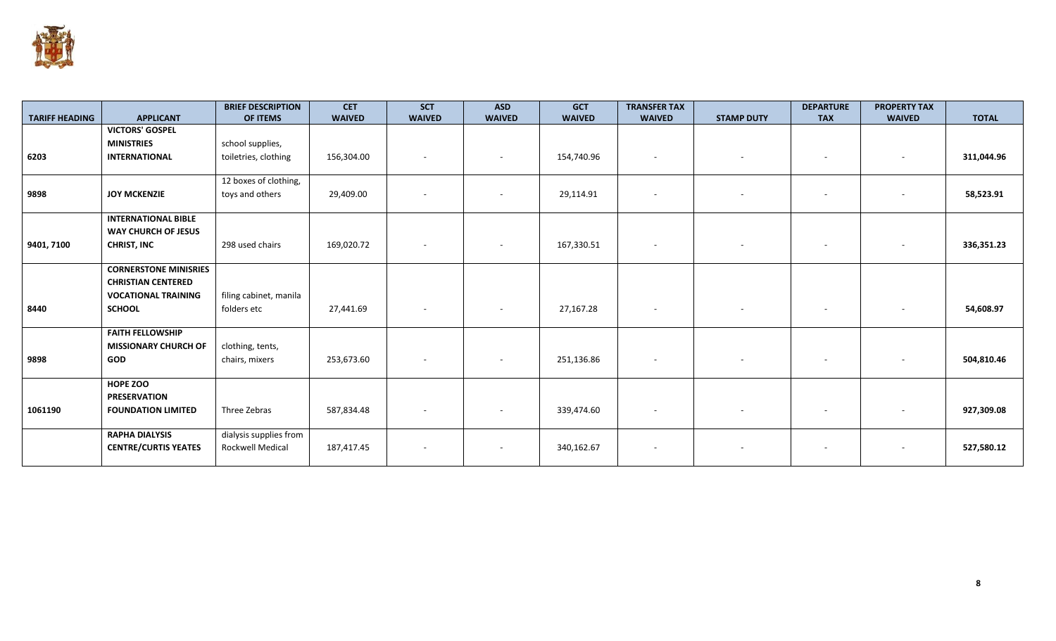

|                       |                              | <b>BRIEF DESCRIPTION</b> | <b>CET</b>    | <b>SCT</b>               | <b>ASD</b>               | <b>GCT</b>    | <b>TRANSFER TAX</b> |                          | <b>DEPARTURE</b>         | <b>PROPERTY TAX</b>      |              |
|-----------------------|------------------------------|--------------------------|---------------|--------------------------|--------------------------|---------------|---------------------|--------------------------|--------------------------|--------------------------|--------------|
| <b>TARIFF HEADING</b> | <b>APPLICANT</b>             | OF ITEMS                 | <b>WAIVED</b> | <b>WAIVED</b>            | <b>WAIVED</b>            | <b>WAIVED</b> | <b>WAIVED</b>       | <b>STAMP DUTY</b>        | <b>TAX</b>               | <b>WAIVED</b>            | <b>TOTAL</b> |
|                       | <b>VICTORS' GOSPEL</b>       |                          |               |                          |                          |               |                     |                          |                          |                          |              |
|                       | <b>MINISTRIES</b>            | school supplies,         |               |                          |                          |               |                     |                          |                          |                          |              |
| 6203                  | <b>INTERNATIONAL</b>         | toiletries, clothing     | 156,304.00    |                          |                          | 154,740.96    |                     | $\overline{a}$           | $\overline{\phantom{a}}$ | $\sim$                   | 311,044.96   |
|                       |                              |                          |               |                          |                          |               |                     |                          |                          |                          |              |
|                       |                              | 12 boxes of clothing,    |               |                          |                          |               |                     |                          |                          |                          |              |
| 9898                  | <b>JOY MCKENZIE</b>          | toys and others          | 29,409.00     |                          |                          | 29,114.91     |                     |                          |                          |                          | 58,523.91    |
|                       |                              |                          |               |                          |                          |               |                     |                          |                          |                          |              |
|                       | <b>INTERNATIONAL BIBLE</b>   |                          |               |                          |                          |               |                     |                          |                          |                          |              |
|                       | <b>WAY CHURCH OF JESUS</b>   |                          |               |                          |                          |               |                     |                          |                          |                          |              |
| 9401, 7100            | <b>CHRIST, INC</b>           | 298 used chairs          | 169,020.72    | $\overline{\phantom{a}}$ | $\sim$                   | 167,330.51    |                     | $\sim$                   | $\sim$                   | $\sim$                   | 336,351.23   |
|                       |                              |                          |               |                          |                          |               |                     |                          |                          |                          |              |
|                       | <b>CORNERSTONE MINISRIES</b> |                          |               |                          |                          |               |                     |                          |                          |                          |              |
|                       | <b>CHRISTIAN CENTERED</b>    |                          |               |                          |                          |               |                     |                          |                          |                          |              |
|                       | <b>VOCATIONAL TRAINING</b>   | filing cabinet, manila   |               |                          |                          |               |                     |                          |                          |                          |              |
| 8440                  | <b>SCHOOL</b>                | folders etc              | 27,441.69     | $\sim$                   | $\sim$                   | 27,167.28     |                     | $\overline{\phantom{a}}$ | $\overline{\phantom{a}}$ | $\overline{\phantom{a}}$ | 54,608.97    |
|                       |                              |                          |               |                          |                          |               |                     |                          |                          |                          |              |
|                       | <b>FAITH FELLOWSHIP</b>      |                          |               |                          |                          |               |                     |                          |                          |                          |              |
|                       | <b>MISSIONARY CHURCH OF</b>  | clothing, tents,         |               |                          |                          |               |                     |                          |                          |                          |              |
| 9898                  | <b>GOD</b>                   | chairs, mixers           | 253,673.60    |                          |                          | 251,136.86    |                     |                          |                          |                          | 504,810.46   |
|                       |                              |                          |               |                          |                          |               |                     |                          |                          |                          |              |
|                       | HOPE ZOO                     |                          |               |                          |                          |               |                     |                          |                          |                          |              |
|                       | <b>PRESERVATION</b>          |                          |               |                          |                          |               |                     |                          |                          |                          |              |
| 1061190               | <b>FOUNDATION LIMITED</b>    | Three Zebras             | 587,834.48    |                          |                          | 339,474.60    |                     |                          |                          |                          | 927,309.08   |
|                       |                              |                          |               |                          |                          |               |                     |                          |                          |                          |              |
|                       | <b>RAPHA DIALYSIS</b>        | dialysis supplies from   |               |                          |                          |               |                     |                          |                          |                          |              |
|                       | <b>CENTRE/CURTIS YEATES</b>  | Rockwell Medical         | 187,417.45    |                          | $\overline{\phantom{a}}$ | 340,162.67    |                     | $\overline{\phantom{a}}$ | $\overline{\phantom{a}}$ | $\overline{\phantom{a}}$ | 527,580.12   |
|                       |                              |                          |               |                          |                          |               |                     |                          |                          |                          |              |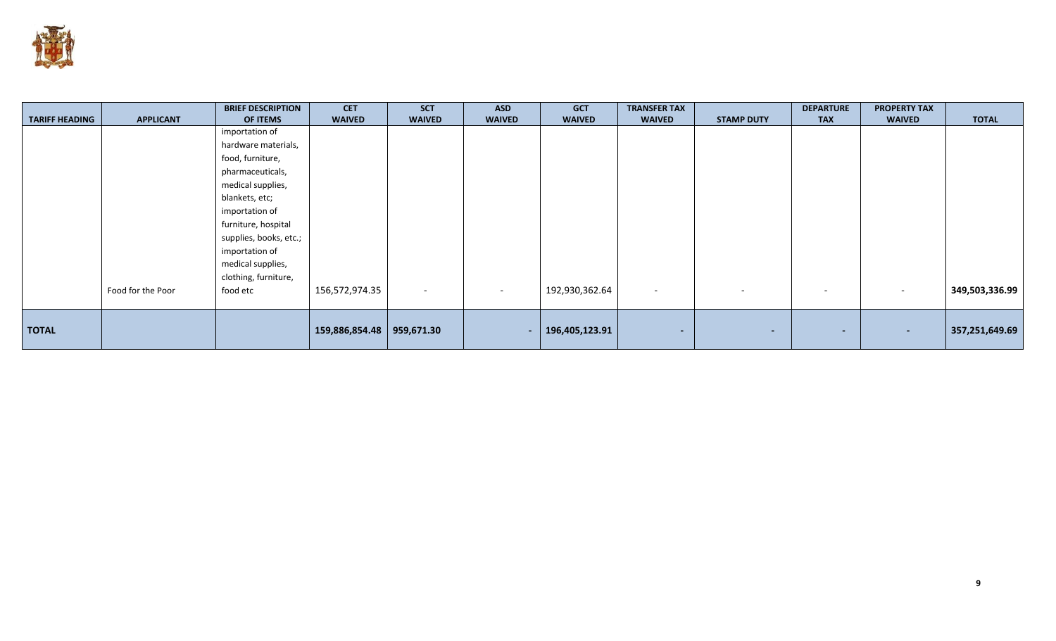

|                       |                   | <b>BRIEF DESCRIPTION</b> | <b>CET</b>     | <b>SCT</b>               | <b>ASD</b>               | <b>GCT</b>     | <b>TRANSFER TAX</b>      |                          | <b>DEPARTURE</b> | <b>PROPERTY TAX</b> |                |
|-----------------------|-------------------|--------------------------|----------------|--------------------------|--------------------------|----------------|--------------------------|--------------------------|------------------|---------------------|----------------|
| <b>TARIFF HEADING</b> | <b>APPLICANT</b>  | OF ITEMS                 | <b>WAIVED</b>  | <b>WAIVED</b>            | <b>WAIVED</b>            | <b>WAIVED</b>  | <b>WAIVED</b>            | <b>STAMP DUTY</b>        | <b>TAX</b>       | <b>WAIVED</b>       | <b>TOTAL</b>   |
|                       |                   | importation of           |                |                          |                          |                |                          |                          |                  |                     |                |
|                       |                   | hardware materials,      |                |                          |                          |                |                          |                          |                  |                     |                |
|                       |                   | food, furniture,         |                |                          |                          |                |                          |                          |                  |                     |                |
|                       |                   | pharmaceuticals,         |                |                          |                          |                |                          |                          |                  |                     |                |
|                       |                   | medical supplies,        |                |                          |                          |                |                          |                          |                  |                     |                |
|                       |                   | blankets, etc;           |                |                          |                          |                |                          |                          |                  |                     |                |
|                       |                   | importation of           |                |                          |                          |                |                          |                          |                  |                     |                |
|                       |                   | furniture, hospital      |                |                          |                          |                |                          |                          |                  |                     |                |
|                       |                   | supplies, books, etc.;   |                |                          |                          |                |                          |                          |                  |                     |                |
|                       |                   | importation of           |                |                          |                          |                |                          |                          |                  |                     |                |
|                       |                   | medical supplies,        |                |                          |                          |                |                          |                          |                  |                     |                |
|                       |                   | clothing, furniture,     |                |                          |                          |                |                          |                          |                  |                     |                |
|                       | Food for the Poor | food etc                 | 156,572,974.35 | $\overline{\phantom{0}}$ | $\overline{\phantom{0}}$ | 192,930,362.64 | $\overline{\phantom{0}}$ | $\overline{\phantom{a}}$ |                  |                     | 349,503,336.99 |
|                       |                   |                          |                |                          |                          |                |                          |                          |                  |                     |                |
|                       |                   |                          |                |                          |                          |                |                          |                          |                  |                     |                |
| <b>TOTAL</b>          |                   |                          | 159,886,854.48 | 959,671.30               | ٠                        | 196,405,123.91 | $\overline{\phantom{a}}$ | $\blacksquare$           | $\blacksquare$   |                     | 357,251,649.69 |
|                       |                   |                          |                |                          |                          |                |                          |                          |                  |                     |                |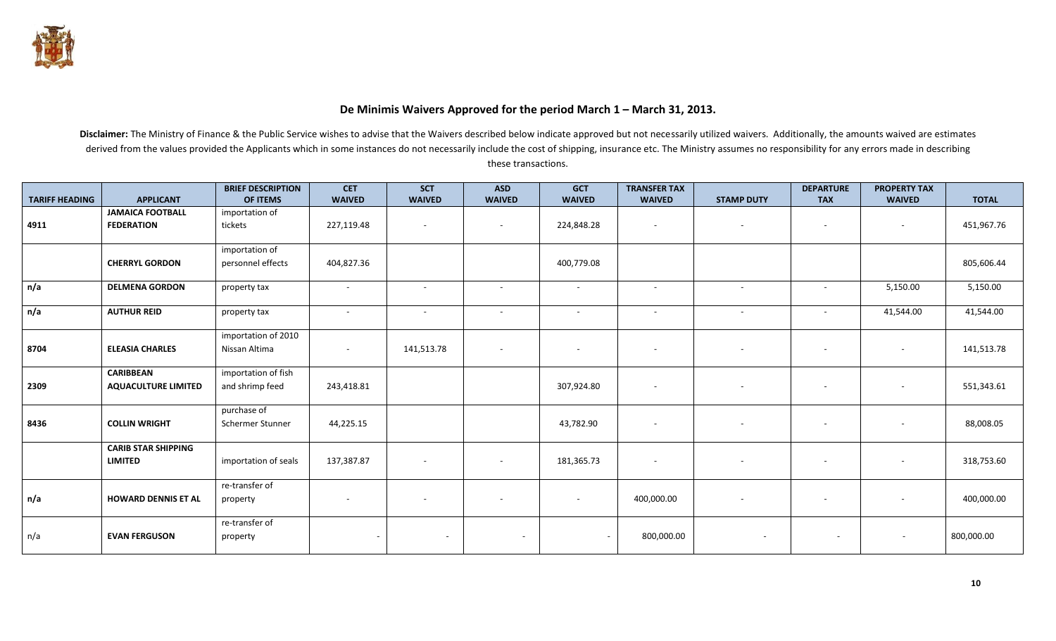

## **De Minimis Waivers Approved for the period March 1 – March 31, 2013.**

|                       |                            | <b>BRIEF DESCRIPTION</b> | <b>CET</b>               | <b>SCT</b>               | <b>ASD</b>    | <b>GCT</b>    | <b>TRANSFER TAX</b>      |                          | <b>DEPARTURE</b>         | <b>PROPERTY TAX</b>      |              |
|-----------------------|----------------------------|--------------------------|--------------------------|--------------------------|---------------|---------------|--------------------------|--------------------------|--------------------------|--------------------------|--------------|
| <b>TARIFF HEADING</b> | <b>APPLICANT</b>           | OF ITEMS                 | <b>WAIVED</b>            | <b>WAIVED</b>            | <b>WAIVED</b> | <b>WAIVED</b> | <b>WAIVED</b>            | <b>STAMP DUTY</b>        | <b>TAX</b>               | <b>WAIVED</b>            | <b>TOTAL</b> |
|                       | <b>JAMAICA FOOTBALL</b>    | importation of           |                          |                          |               |               |                          |                          |                          |                          |              |
| 4911                  | <b>FEDERATION</b>          | tickets                  | 227,119.48               | $\overline{\phantom{a}}$ | $\sim$        | 224,848.28    | $\overline{\phantom{a}}$ | $\overline{\phantom{a}}$ | $\overline{\phantom{a}}$ | $\sim$                   | 451,967.76   |
|                       |                            |                          |                          |                          |               |               |                          |                          |                          |                          |              |
|                       |                            | importation of           |                          |                          |               |               |                          |                          |                          |                          |              |
|                       | <b>CHERRYL GORDON</b>      | personnel effects        | 404,827.36               |                          |               | 400,779.08    |                          |                          |                          |                          | 805,606.44   |
|                       |                            |                          |                          |                          |               |               |                          |                          |                          |                          |              |
| n/a                   | <b>DELMENA GORDON</b>      | property tax             | $\sim$                   | $\sim$                   | $\sim$        | $\sim$        | $\sim$                   | $\sim$                   | $\sim$                   | 5,150.00                 | 5,150.00     |
|                       |                            |                          |                          |                          |               |               |                          |                          |                          |                          |              |
| n/a                   | <b>AUTHUR REID</b>         | property tax             | $\sim$                   | $\sim$                   | $\sim$        | $\sim$        | $\sim$                   | $\sim$                   | $\overline{\phantom{a}}$ | 41,544.00                | 41,544.00    |
|                       |                            |                          |                          |                          |               |               |                          |                          |                          |                          |              |
|                       |                            | importation of 2010      |                          |                          |               |               |                          |                          |                          |                          |              |
| 8704                  | <b>ELEASIA CHARLES</b>     | Nissan Altima            | $\overline{\phantom{a}}$ | 141,513.78               | $\sim$        |               |                          |                          |                          | $\sim$                   | 141,513.78   |
|                       |                            |                          |                          |                          |               |               |                          |                          |                          |                          |              |
|                       | <b>CARIBBEAN</b>           | importation of fish      |                          |                          |               |               |                          |                          |                          |                          |              |
| 2309                  | <b>AQUACULTURE LIMITED</b> | and shrimp feed          | 243,418.81               |                          |               | 307,924.80    | $\sim$                   | $\overline{\phantom{a}}$ | $\overline{a}$           | $\overline{\phantom{a}}$ | 551,343.61   |
|                       |                            |                          |                          |                          |               |               |                          |                          |                          |                          |              |
|                       |                            | purchase of              |                          |                          |               |               |                          |                          |                          |                          |              |
| 8436                  | <b>COLLIN WRIGHT</b>       | Schermer Stunner         | 44,225.15                |                          |               | 43,782.90     |                          |                          | $\overline{\phantom{a}}$ | $\sim$                   | 88,008.05    |
|                       |                            |                          |                          |                          |               |               |                          |                          |                          |                          |              |
|                       | <b>CARIB STAR SHIPPING</b> |                          |                          |                          |               |               |                          |                          |                          |                          |              |
|                       | <b>LIMITED</b>             | importation of seals     | 137,387.87               | $\overline{\phantom{a}}$ |               | 181,365.73    |                          |                          |                          | $\overline{\phantom{a}}$ | 318,753.60   |
|                       |                            |                          |                          |                          |               |               |                          |                          |                          |                          |              |
|                       |                            | re-transfer of           |                          |                          |               |               |                          |                          |                          |                          |              |
| n/a                   | <b>HOWARD DENNIS ET AL</b> | property                 |                          |                          |               |               | 400,000.00               |                          | $\overline{a}$           | $\overline{\phantom{a}}$ | 400,000.00   |
|                       |                            |                          |                          |                          |               |               |                          |                          |                          |                          |              |
|                       |                            | re-transfer of           |                          |                          |               |               |                          |                          |                          |                          |              |
| n/a                   | <b>EVAN FERGUSON</b>       | property                 | ٠                        |                          | $\sim$        |               | 800,000.00               | $\overline{\phantom{a}}$ | $\sim$                   | $\sim$                   | 800,000.00   |
|                       |                            |                          |                          |                          |               |               |                          |                          |                          |                          |              |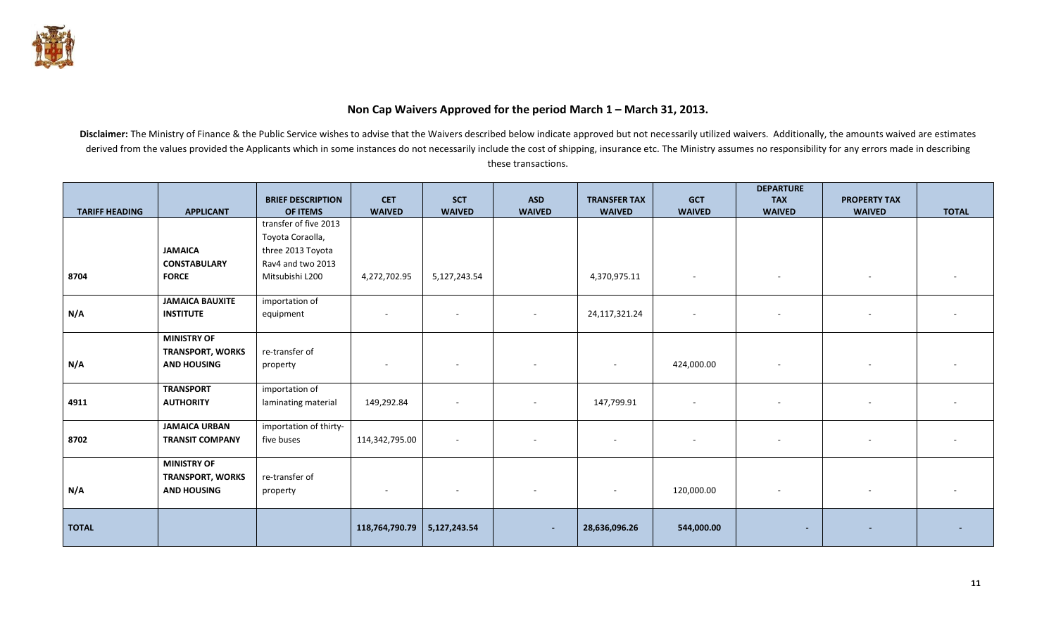

## **Non Cap Waivers Approved for the period March 1 – March 31, 2013.**

|                       |                         | <b>BRIEF DESCRIPTION</b> | <b>CET</b>               | <b>SCT</b>     | <b>ASD</b>               | <b>TRANSFER TAX</b>      | <b>GCT</b>    | <b>DEPARTURE</b><br><b>TAX</b> | <b>PROPERTY TAX</b> |              |
|-----------------------|-------------------------|--------------------------|--------------------------|----------------|--------------------------|--------------------------|---------------|--------------------------------|---------------------|--------------|
| <b>TARIFF HEADING</b> | <b>APPLICANT</b>        | OF ITEMS                 | <b>WAIVED</b>            | <b>WAIVED</b>  | <b>WAIVED</b>            | <b>WAIVED</b>            | <b>WAIVED</b> | <b>WAIVED</b>                  | <b>WAIVED</b>       | <b>TOTAL</b> |
|                       |                         | transfer of five 2013    |                          |                |                          |                          |               |                                |                     |              |
|                       |                         | Toyota Coraolla,         |                          |                |                          |                          |               |                                |                     |              |
|                       | <b>JAMAICA</b>          | three 2013 Toyota        |                          |                |                          |                          |               |                                |                     |              |
|                       | <b>CONSTABULARY</b>     | Rav4 and two 2013        |                          |                |                          |                          |               |                                |                     |              |
| 8704                  | <b>FORCE</b>            | Mitsubishi L200          | 4,272,702.95             | 5,127,243.54   |                          | 4,370,975.11             | $\sim$        | $\overline{\phantom{0}}$       | $\sim$              |              |
|                       | <b>JAMAICA BAUXITE</b>  | importation of           |                          |                |                          |                          |               |                                |                     |              |
| N/A                   | <b>INSTITUTE</b>        | equipment                | $\overline{\phantom{a}}$ |                |                          | 24,117,321.24            | $\sim$        |                                |                     |              |
|                       | <b>MINISTRY OF</b>      |                          |                          |                |                          |                          |               |                                |                     |              |
|                       | <b>TRANSPORT, WORKS</b> | re-transfer of           |                          |                |                          |                          |               |                                |                     |              |
| N/A                   | <b>AND HOUSING</b>      | property                 |                          | $\overline{a}$ |                          | $\overline{\phantom{a}}$ | 424,000.00    |                                |                     |              |
|                       | <b>TRANSPORT</b>        | importation of           |                          |                |                          |                          |               |                                |                     |              |
| 4911                  | <b>AUTHORITY</b>        | laminating material      | 149,292.84               | $\overline{a}$ |                          | 147,799.91               | $\sim$        |                                |                     |              |
|                       | <b>JAMAICA URBAN</b>    | importation of thirty-   |                          |                |                          |                          |               |                                |                     |              |
| 8702                  | <b>TRANSIT COMPANY</b>  | five buses               | 114,342,795.00           | $\overline{a}$ |                          |                          |               |                                |                     |              |
|                       | <b>MINISTRY OF</b>      |                          |                          |                |                          |                          |               |                                |                     |              |
|                       | <b>TRANSPORT, WORKS</b> | re-transfer of           |                          |                |                          |                          |               |                                |                     |              |
| N/A                   | <b>AND HOUSING</b>      | property                 | $\overline{\phantom{a}}$ | $\sim$         | $\overline{\phantom{a}}$ | $\sim$                   | 120,000.00    | $\sim$                         | $\sim$              | $\sim$       |
|                       |                         |                          |                          |                |                          |                          |               |                                |                     |              |
| <b>TOTAL</b>          |                         |                          | 118,764,790.79           | 5,127,243.54   | ٠                        | 28,636,096.26            | 544,000.00    |                                |                     |              |